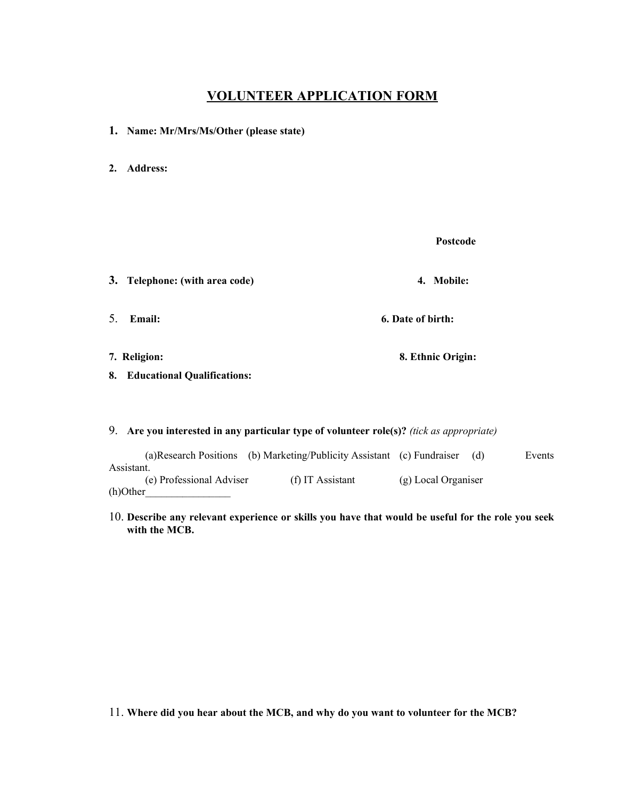## **VOLUNTEER APPLICATION FORM**

- **1. Name: Mr/Mrs/Ms/Other (please state)**
- **2. Address:**

**Postcode**

**3. Telephone: (with area code) 4. Mobile:** 5. **Email: 6. Date of birth: 7. Religion: 8. Ethnic Origin: 8. Educational Qualifications:** 9. **Are you interested in any particular type of volunteer role(s)?** *(tick as appropriate)* (a)Research Positions (b) Marketing/Publicity Assistant (c) Fundraiser (d) Events

Assistant. (e) Professional Adviser (f) IT Assistant (g) Local Organiser  $(h)$ Other

10. **Describe any relevant experience or skills you have that would be useful for the role you seek with the MCB.**

11. **Where did you hear about the MCB, and why do you want to volunteer for the MCB?**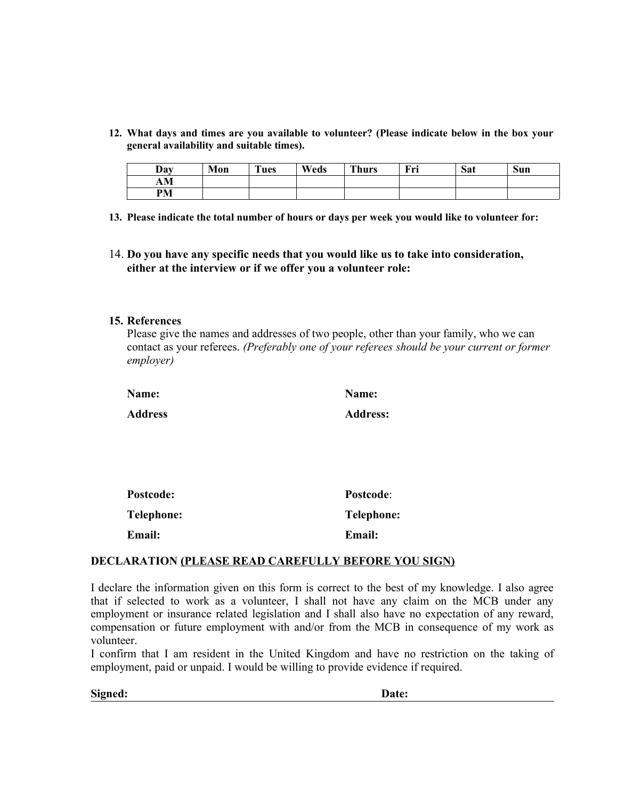**12. What days and times are you available to volunteer? (Please indicate below in the box your general availability and suitable times).**

| Day       | Mon | <b>CONTRACTOR</b><br>ues | Weds | <b>Thurs</b> | Fri | Sat | Sun |
|-----------|-----|--------------------------|------|--------------|-----|-----|-----|
| AM        |     |                          |      |              |     |     |     |
| <b>PM</b> |     |                          |      |              |     |     |     |

- **13. Please indicate the total number of hours or days per week you would like to volunteer for:**
- 14. **Do you have any specific needs that you would like us to take into consideration, either at the interview or if we offer you a volunteer role:**

## **15. References**

Please give the names and addresses of two people, other than your family, who we can contact as your referees. *(Preferably one of your referees should be your current or former employer)*

| Name:          | Name:           |
|----------------|-----------------|
| <b>Address</b> | <b>Address:</b> |

| <b>Postcode:</b>  | Postcode:         |
|-------------------|-------------------|
| <b>Telephone:</b> | <b>Telephone:</b> |
| <b>Email:</b>     | Email:            |

## **DECLARATION (PLEASE READ CAREFULLY BEFORE YOU SIGN)**

I declare the information given on this form is correct to the best of my knowledge. I also agree that if selected to work as a volunteer, I shall not have any claim on the MCB under any employment or insurance related legislation and I shall also have no expectation of any reward, compensation or future employment with and/or from the MCB in consequence of my work as volunteer.

I confirm that I am resident in the United Kingdom and have no restriction on the taking of employment, paid or unpaid. I would be willing to provide evidence if required.

**Signed: Date:**